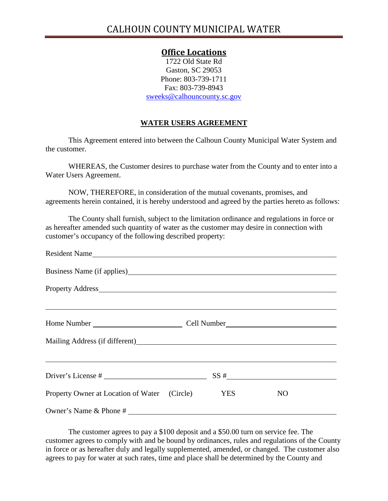## **Office Locations**

1722 Old State Rd Gaston, SC 29053 Phone: 803-739-1711 Fax: 803-739-8943 sweeks@calhouncounty.sc.gov

## **WATER USERS AGREEMENT**

This Agreement entered into between the Calhoun County Municipal Water System and the customer.

 WHEREAS, the Customer desires to purchase water from the County and to enter into a Water Users Agreement.

 NOW, THEREFORE, in consideration of the mutual covenants, promises, and agreements herein contained, it is hereby understood and agreed by the parties hereto as follows:

 The County shall furnish, subject to the limitation ordinance and regulations in force or as hereafter amended such quantity of water as the customer may desire in connection with customer's occupancy of the following described property:

| Resident Name                                                                                                        |  |  |                |  |
|----------------------------------------------------------------------------------------------------------------------|--|--|----------------|--|
|                                                                                                                      |  |  |                |  |
|                                                                                                                      |  |  |                |  |
| <u> 1999 - Jan James James James James James James James James James James James James James James James James J</u> |  |  |                |  |
|                                                                                                                      |  |  |                |  |
|                                                                                                                      |  |  |                |  |
| <u> 1989 - Andrea Santa Andrea Santa Andrea Santa Andrea Santa Andrea Santa Andrea Santa Andrea Santa Andrea San</u> |  |  |                |  |
| Driver's License # $\frac{1}{2}$ SS # $\frac{1}{2}$                                                                  |  |  |                |  |
| Property Owner at Location of Water (Circle) YES                                                                     |  |  | N <sub>O</sub> |  |
| Owner's Name & Phone #                                                                                               |  |  |                |  |

 The customer agrees to pay a \$100 deposit and a \$50.00 turn on service fee. The customer agrees to comply with and be bound by ordinances, rules and regulations of the County in force or as hereafter duly and legally supplemented, amended, or changed. The customer also agrees to pay for water at such rates, time and place shall be determined by the County and